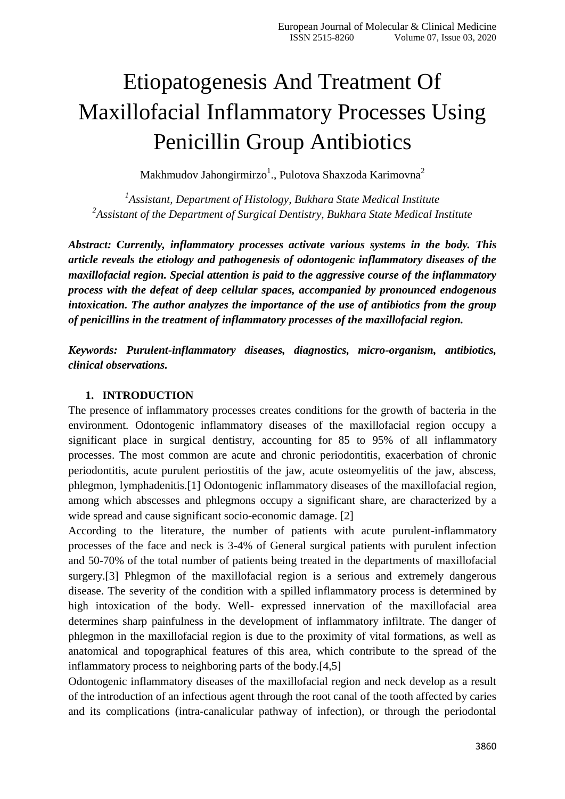# Etiopatogenesis And Treatment Of Maxillofacial Inflammatory Processes Using Penicillin Group Antibiotics

Makhmudov Jahongirmirzo $^1$ ., Pulotova Shaxzoda Karimovna $^2$ 

*1 Assistant, Department of Histology, Bukhara State Medical Institute 2 Assistant of the Department of Surgical Dentistry, Bukhara State Medical Institute*

*Abstract: Currently, inflammatory processes activate various systems in the body. This article reveals the etiology and pathogenesis of odontogenic inflammatory diseases of the maxillofacial region. Special attention is paid to the aggressive course of the inflammatory process with the defeat of deep cellular spaces, accompanied by pronounced endogenous intoxication. The author analyzes the importance of the use of antibiotics from the group of penicillins in the treatment of inflammatory processes of the maxillofacial region.*

*Keywords: Purulent-inflammatory diseases, diagnostics, micro-organism, antibiotics, clinical observations.*

#### **1. INTRODUCTION**

The presence of inflammatory processes creates conditions for the growth of bacteria in the environment. Odontogenic inflammatory diseases of the maxillofacial region occupy a significant place in surgical dentistry, accounting for 85 to 95% of all inflammatory processes. The most common are acute and chronic periodontitis, exacerbation of chronic periodontitis, acute purulent periostitis of the jaw, acute osteomyelitis of the jaw, abscess, phlegmon, lymphadenitis.[1] Odontogenic inflammatory diseases of the maxillofacial region, among which abscesses and phlegmons occupy a significant share, are characterized by a wide spread and cause significant socio-economic damage. [2]

According to the literature, the number of patients with acute purulent-inflammatory processes of the face and neck is 3-4% of General surgical patients with purulent infection and 50-70% of the total number of patients being treated in the departments of maxillofacial surgery.[3] Phlegmon of the maxillofacial region is a serious and extremely dangerous disease. The severity of the condition with a spilled inflammatory process is determined by high intoxication of the body. Well- expressed innervation of the maxillofacial area determines sharp painfulness in the development of inflammatory infiltrate. The danger of phlegmon in the maxillofacial region is due to the proximity of vital formations, as well as anatomical and topographical features of this area, which contribute to the spread of the inflammatory process to neighboring parts of the body.[4,5]

Odontogenic inflammatory diseases of the maxillofacial region and neck develop as a result of the introduction of an infectious agent through the root canal of the tooth affected by caries and its complications (intra-canalicular pathway of infection), or through the periodontal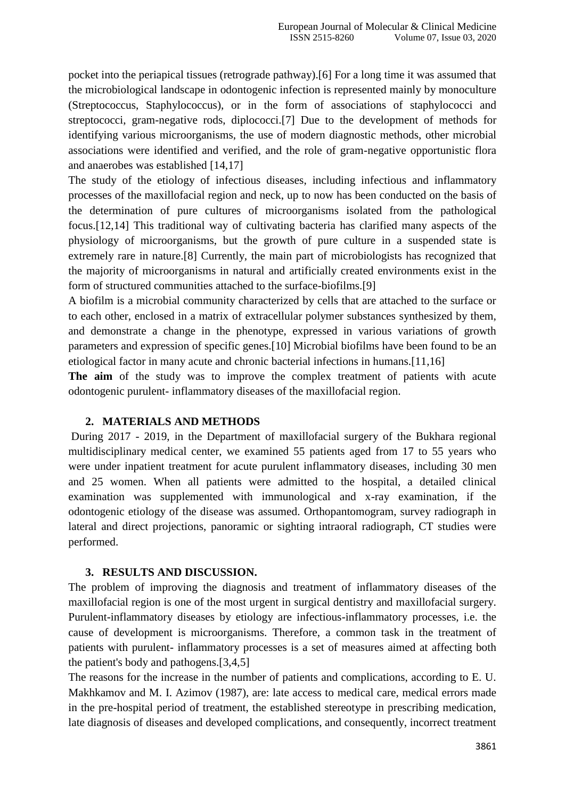pocket into the periapical tissues (retrograde pathway).[6] For a long time it was assumed that the microbiological landscape in odontogenic infection is represented mainly by monoculture (Streptococcus, Staphylococcus), or in the form of associations of staphylococci and streptococci, gram-negative rods, diplococci.[7] Due to the development of methods for identifying various microorganisms, the use of modern diagnostic methods, other microbial associations were identified and verified, and the role of gram-negative opportunistic flora and anaerobes was established [14,17]

The study of the etiology of infectious diseases, including infectious and inflammatory processes of the maxillofacial region and neck, up to now has been conducted on the basis of the determination of pure cultures of microorganisms isolated from the pathological focus.[12,14] This traditional way of cultivating bacteria has clarified many aspects of the physiology of microorganisms, but the growth of pure culture in a suspended state is extremely rare in nature.[8] Currently, the main part of microbiologists has recognized that the majority of microorganisms in natural and artificially created environments exist in the form of structured communities attached to the surface-biofilms.[9]

A biofilm is a microbial community characterized by cells that are attached to the surface or to each other, enclosed in a matrix of extracellular polymer substances synthesized by them, and demonstrate a change in the phenotype, expressed in various variations of growth parameters and expression of specific genes.[10] Microbial biofilms have been found to be an etiological factor in many acute and chronic bacterial infections in humans.[11,16]

**The aim** of the study was to improve the complex treatment of patients with acute odontogenic purulent- inflammatory diseases of the maxillofacial region.

#### **2. MATERIALS AND METHODS**

During 2017 - 2019, in the Department of maxillofacial surgery of the Bukhara regional multidisciplinary medical center, we examined 55 patients aged from 17 to 55 years who were under inpatient treatment for acute purulent inflammatory diseases, including 30 men and 25 women. When all patients were admitted to the hospital, a detailed clinical examination was supplemented with immunological and x-ray examination, if the odontogenic etiology of the disease was assumed. Orthopantomogram, survey radiograph in lateral and direct projections, panoramic or sighting intraoral radiograph, CT studies were performed.

#### **3. RESULTS AND DISCUSSION.**

The problem of improving the diagnosis and treatment of inflammatory diseases of the maxillofacial region is one of the most urgent in surgical dentistry and maxillofacial surgery. Purulent-inflammatory diseases by etiology are infectious-inflammatory processes, i.e. the cause of development is microorganisms. Therefore, a common task in the treatment of patients with purulent- inflammatory processes is a set of measures aimed at affecting both the patient's body and pathogens.[3,4,5]

The reasons for the increase in the number of patients and complications, according to E. U. Makhkamov and M. I. Azimov (1987), are: late access to medical care, medical errors made in the pre-hospital period of treatment, the established stereotype in prescribing medication, late diagnosis of diseases and developed complications, and consequently, incorrect treatment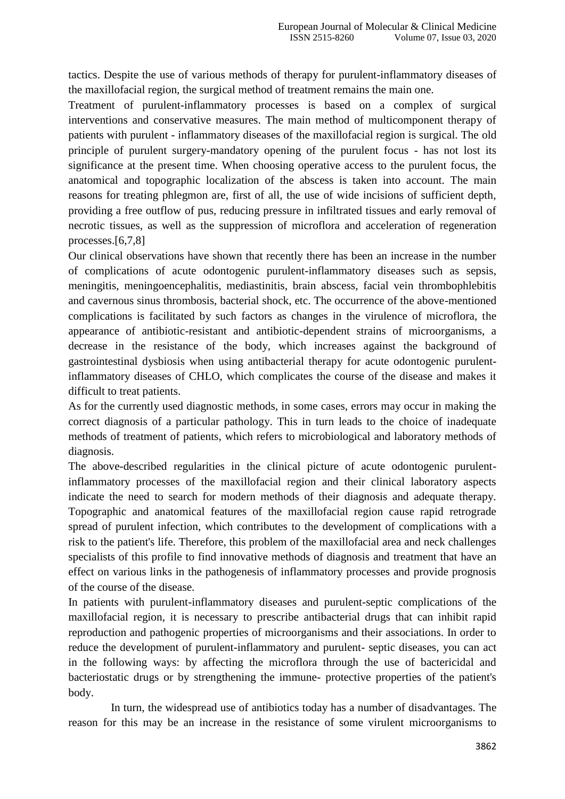tactics. Despite the use of various methods of therapy for purulent-inflammatory diseases of the maxillofacial region, the surgical method of treatment remains the main one.

Treatment of purulent-inflammatory processes is based on a complex of surgical interventions and conservative measures. The main method of multicomponent therapy of patients with purulent - inflammatory diseases of the maxillofacial region is surgical. The old principle of purulent surgery-mandatory opening of the purulent focus - has not lost its significance at the present time. When choosing operative access to the purulent focus, the anatomical and topographic localization of the abscess is taken into account. The main reasons for treating phlegmon are, first of all, the use of wide incisions of sufficient depth, providing a free outflow of pus, reducing pressure in infiltrated tissues and early removal of necrotic tissues, as well as the suppression of microflora and acceleration of regeneration processes.[6,7,8]

Our clinical observations have shown that recently there has been an increase in the number of complications of acute odontogenic purulent-inflammatory diseases such as sepsis, meningitis, meningoencephalitis, mediastinitis, brain abscess, facial vein thrombophlebitis and cavernous sinus thrombosis, bacterial shock, etc. The occurrence of the above-mentioned complications is facilitated by such factors as changes in the virulence of microflora, the appearance of antibiotic-resistant and antibiotic-dependent strains of microorganisms, a decrease in the resistance of the body, which increases against the background of gastrointestinal dysbiosis when using antibacterial therapy for acute odontogenic purulentinflammatory diseases of CHLO, which complicates the course of the disease and makes it difficult to treat patients.

As for the currently used diagnostic methods, in some cases, errors may occur in making the correct diagnosis of a particular pathology. This in turn leads to the choice of inadequate methods of treatment of patients, which refers to microbiological and laboratory methods of diagnosis.

The above-described regularities in the clinical picture of acute odontogenic purulentinflammatory processes of the maxillofacial region and their clinical laboratory aspects indicate the need to search for modern methods of their diagnosis and adequate therapy. Topographic and anatomical features of the maxillofacial region cause rapid retrograde spread of purulent infection, which contributes to the development of complications with a risk to the patient's life. Therefore, this problem of the maxillofacial area and neck challenges specialists of this profile to find innovative methods of diagnosis and treatment that have an effect on various links in the pathogenesis of inflammatory processes and provide prognosis of the course of the disease.

In patients with purulent-inflammatory diseases and purulent-septic complications of the maxillofacial region, it is necessary to prescribe antibacterial drugs that can inhibit rapid reproduction and pathogenic properties of microorganisms and their associations. In order to reduce the development of purulent-inflammatory and purulent- septic diseases, you can act in the following ways: by affecting the microflora through the use of bactericidal and bacteriostatic drugs or by strengthening the immune- protective properties of the patient's body.

In turn, the widespread use of antibiotics today has a number of disadvantages. The reason for this may be an increase in the resistance of some virulent microorganisms to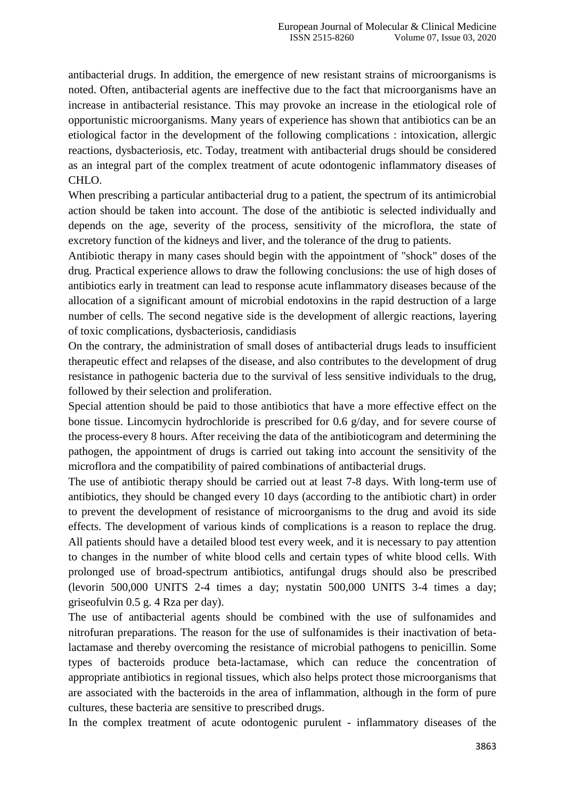antibacterial drugs. In addition, the emergence of new resistant strains of microorganisms is noted. Often, antibacterial agents are ineffective due to the fact that microorganisms have an increase in antibacterial resistance. This may provoke an increase in the etiological role of opportunistic microorganisms. Many years of experience has shown that antibiotics can be an etiological factor in the development of the following complications : intoxication, allergic reactions, dysbacteriosis, etc. Today, treatment with antibacterial drugs should be considered as an integral part of the complex treatment of acute odontogenic inflammatory diseases of CHLO.

When prescribing a particular antibacterial drug to a patient, the spectrum of its antimicrobial action should be taken into account. The dose of the antibiotic is selected individually and depends on the age, severity of the process, sensitivity of the microflora, the state of excretory function of the kidneys and liver, and the tolerance of the drug to patients.

Antibiotic therapy in many cases should begin with the appointment of "shock" doses of the drug. Practical experience allows to draw the following conclusions: the use of high doses of antibiotics early in treatment can lead to response acute inflammatory diseases because of the allocation of a significant amount of microbial endotoxins in the rapid destruction of a large number of cells. The second negative side is the development of allergic reactions, layering of toxic complications, dysbacteriosis, candidiasis

On the contrary, the administration of small doses of antibacterial drugs leads to insufficient therapeutic effect and relapses of the disease, and also contributes to the development of drug resistance in pathogenic bacteria due to the survival of less sensitive individuals to the drug, followed by their selection and proliferation.

Special attention should be paid to those antibiotics that have a more effective effect on the bone tissue. Lincomycin hydrochloride is prescribed for 0.6 g/day, and for severe course of the process-every 8 hours. After receiving the data of the antibioticogram and determining the pathogen, the appointment of drugs is carried out taking into account the sensitivity of the microflora and the compatibility of paired combinations of antibacterial drugs.

The use of antibiotic therapy should be carried out at least 7-8 days. With long-term use of antibiotics, they should be changed every 10 days (according to the antibiotic chart) in order to prevent the development of resistance of microorganisms to the drug and avoid its side effects. The development of various kinds of complications is a reason to replace the drug. All patients should have a detailed blood test every week, and it is necessary to pay attention to changes in the number of white blood cells and certain types of white blood cells. With prolonged use of broad-spectrum antibiotics, antifungal drugs should also be prescribed (levorin 500,000 UNITS 2-4 times a day; nystatin 500,000 UNITS 3-4 times a day; griseofulvin 0.5 g. 4 Rza per day).

The use of antibacterial agents should be combined with the use of sulfonamides and nitrofuran preparations. The reason for the use of sulfonamides is their inactivation of betalactamase and thereby overcoming the resistance of microbial pathogens to penicillin. Some types of bacteroids produce beta-lactamase, which can reduce the concentration of appropriate antibiotics in regional tissues, which also helps protect those microorganisms that are associated with the bacteroids in the area of inflammation, although in the form of pure cultures, these bacteria are sensitive to prescribed drugs.

In the complex treatment of acute odontogenic purulent - inflammatory diseases of the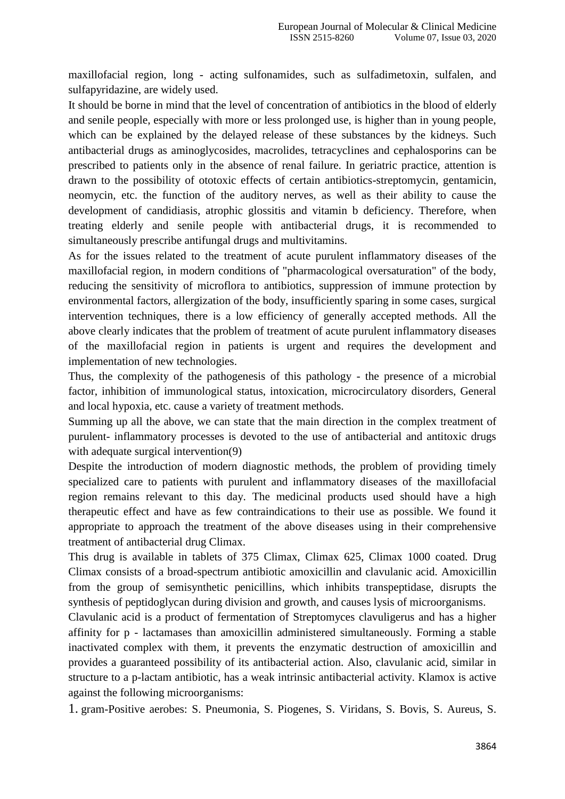maxillofacial region, long - acting sulfonamides, such as sulfadimetoxin, sulfalen, and sulfapyridazine, are widely used.

It should be borne in mind that the level of concentration of antibiotics in the blood of elderly and senile people, especially with more or less prolonged use, is higher than in young people, which can be explained by the delayed release of these substances by the kidneys. Such antibacterial drugs as aminoglycosides, macrolides, tetracyclines and cephalosporins can be prescribed to patients only in the absence of renal failure. In geriatric practice, attention is drawn to the possibility of ototoxic effects of certain antibiotics-streptomycin, gentamicin, neomycin, etc. the function of the auditory nerves, as well as their ability to cause the development of candidiasis, atrophic glossitis and vitamin b deficiency. Therefore, when treating elderly and senile people with antibacterial drugs, it is recommended to simultaneously prescribe antifungal drugs and multivitamins.

As for the issues related to the treatment of acute purulent inflammatory diseases of the maxillofacial region, in modern conditions of "pharmacological oversaturation" of the body, reducing the sensitivity of microflora to antibiotics, suppression of immune protection by environmental factors, allergization of the body, insufficiently sparing in some cases, surgical intervention techniques, there is a low efficiency of generally accepted methods. All the above clearly indicates that the problem of treatment of acute purulent inflammatory diseases of the maxillofacial region in patients is urgent and requires the development and implementation of new technologies.

Thus, the complexity of the pathogenesis of this pathology - the presence of a microbial factor, inhibition of immunological status, intoxication, microcirculatory disorders, General and local hypoxia, etc. cause a variety of treatment methods.

Summing up all the above, we can state that the main direction in the complex treatment of purulent- inflammatory processes is devoted to the use of antibacterial and antitoxic drugs with adequate surgical intervention(9)

Despite the introduction of modern diagnostic methods, the problem of providing timely specialized care to patients with purulent and inflammatory diseases of the maxillofacial region remains relevant to this day. The medicinal products used should have a high therapeutic effect and have as few contraindications to their use as possible. We found it appropriate to approach the treatment of the above diseases using in their comprehensive treatment of antibacterial drug Climax.

This drug is available in tablets of 375 Climax, Climax 625, Climax 1000 coated. Drug Climax consists of a broad-spectrum antibiotic amoxicillin and clavulanic acid. Amoxicillin from the group of semisynthetic penicillins, which inhibits transpeptidase, disrupts the synthesis of peptidoglycan during division and growth, and causes lysis of microorganisms.

Clavulanic acid is a product of fermentation of Streptomyces clavuligerus and has a higher affinity for p - lactamases than amoxicillin administered simultaneously. Forming a stable inactivated complex with them, it prevents the enzymatic destruction of amoxicillin and provides a guaranteed possibility of its antibacterial action. Also, clavulanic acid, similar in structure to a p-lactam antibiotic, has a weak intrinsic antibacterial activity. Klamox is active against the following microorganisms:

1. gram-Positive aerobes: S. Pneumonia, S. Piogenes, S. Viridans, S. Bovis, S. Aureus, S.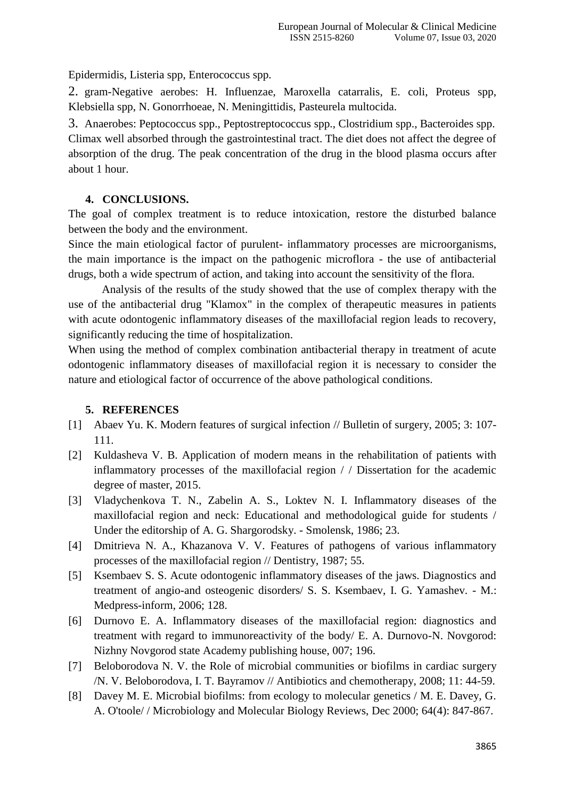Epidermidis, Listeria spp, Enterococcus spp.

2. gram-Negative aerobes: H. Influenzae, Maroxella catarralis, E. coli, Proteus spp, Klebsiella spp, N. Gonorrhoeae, N. Meningittidis, Pasteurela multocida.

3. Anaerobes: Peptococcus spp., Peptostreptococcus spp., Clostridium spp., Bacteroides spp. Climax well absorbed through the gastrointestinal tract. The diet does not affect the degree of absorption of the drug. The peak concentration of the drug in the blood plasma occurs after about 1 hour.

### **4. CONCLUSIONS.**

The goal of complex treatment is to reduce intoxication, restore the disturbed balance between the body and the environment.

Since the main etiological factor of purulent- inflammatory processes are microorganisms, the main importance is the impact on the pathogenic microflora - the use of antibacterial drugs, both a wide spectrum of action, and taking into account the sensitivity of the flora.

Analysis of the results of the study showed that the use of complex therapy with the use of the antibacterial drug "Klamox" in the complex of therapeutic measures in patients with acute odontogenic inflammatory diseases of the maxillofacial region leads to recovery, significantly reducing the time of hospitalization.

When using the method of complex combination antibacterial therapy in treatment of acute odontogenic inflammatory diseases of maxillofacial region it is necessary to consider the nature and etiological factor of occurrence of the above pathological conditions.

## **5. REFERENCES**

- [1] Abaev Yu. K. Modern features of surgical infection // Bulletin of surgery, 2005; 3: 107- 111.
- [2] Kuldasheva V. B. Application of modern means in the rehabilitation of patients with inflammatory processes of the maxillofacial region / / Dissertation for the academic degree of master, 2015.
- [3] Vladychenkova T. N., Zabelin A. S., Loktev N. I. Inflammatory diseases of the maxillofacial region and neck: Educational and methodological guide for students / Under the editorship of A. G. Shargorodsky. - Smolensk, 1986; 23.
- [4] Dmitrieva N. A., Khazanova V. V. Features of pathogens of various inflammatory processes of the maxillofacial region // Dentistry, 1987; 55.
- [5] Ksembaev S. S. Acute odontogenic inflammatory diseases of the jaws. Diagnostics and treatment of angio-and osteogenic disorders/ S. S. Ksembaev, I. G. Yamashev. - M.: Medpress-inform, 2006; 128.
- [6] Durnovo E. A. Inflammatory diseases of the maxillofacial region: diagnostics and treatment with regard to immunoreactivity of the body/ E. A. Durnovo-N. Novgorod: Nizhny Novgorod state Academy publishing house, 007; 196.
- [7] Beloborodova N. V. the Role of microbial communities or biofilms in cardiac surgery /N. V. Beloborodova, I. T. Bayramov // Antibiotics and chemotherapy, 2008; 11: 44-59.
- [8] Davey M. E. Microbial biofilms: from ecology to molecular genetics / M. E. Davey, G. A. O'toole/ / Microbiology and Molecular Biology Reviews, Dec 2000; 64(4): 847-867.